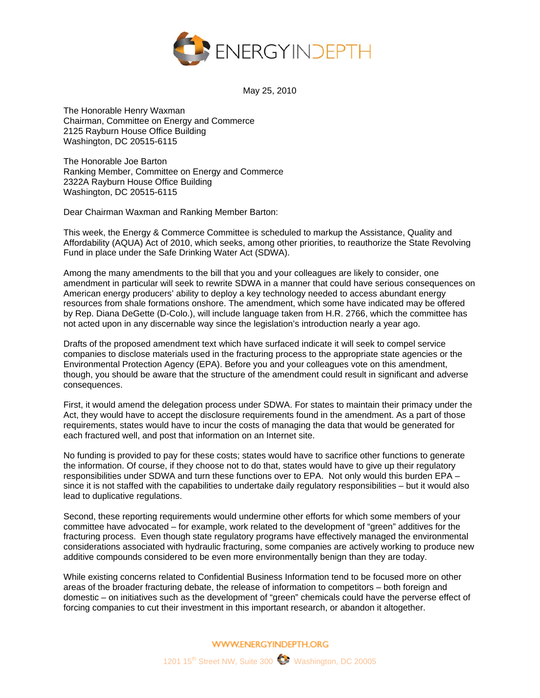

May 25, 2010

The Honorable Henry Waxman Chairman, Committee on Energy and Commerce 2125 Rayburn House Office Building Washington, DC 20515-6115

The Honorable Joe Barton Ranking Member, Committee on Energy and Commerce 2322A Rayburn House Office Building Washington, DC 20515-6115

Dear Chairman Waxman and Ranking Member Barton:

This week, the Energy & Commerce Committee is scheduled to markup the Assistance, Quality and Affordability (AQUA) Act of 2010, which seeks, among other priorities, to reauthorize the State Revolving Fund in place under the Safe Drinking Water Act (SDWA).

Among the many amendments to the bill that you and your colleagues are likely to consider, one amendment in particular will seek to rewrite SDWA in a manner that could have serious consequences on American energy producers' ability to deploy a key technology needed to access abundant energy resources from shale formations onshore. The amendment, which some have indicated may be offered by Rep. Diana DeGette (D-Colo.), will include language taken from H.R. 2766, which the committee has not acted upon in any discernable way since the legislation's introduction nearly a year ago.

Drafts of the proposed amendment text which have surfaced indicate it will seek to compel service companies to disclose materials used in the fracturing process to the appropriate state agencies or the Environmental Protection Agency (EPA). Before you and your colleagues vote on this amendment, though, you should be aware that the structure of the amendment could result in significant and adverse consequences.

First, it would amend the delegation process under SDWA. For states to maintain their primacy under the Act, they would have to accept the disclosure requirements found in the amendment. As a part of those requirements, states would have to incur the costs of managing the data that would be generated for each fractured well, and post that information on an Internet site.

No funding is provided to pay for these costs; states would have to sacrifice other functions to generate the information. Of course, if they choose not to do that, states would have to give up their regulatory responsibilities under SDWA and turn these functions over to EPA. Not only would this burden EPA – since it is not staffed with the capabilities to undertake daily regulatory responsibilities – but it would also lead to duplicative regulations.

Second, these reporting requirements would undermine other efforts for which some members of your committee have advocated – for example, work related to the development of "green" additives for the fracturing process. Even though state regulatory programs have effectively managed the environmental considerations associated with hydraulic fracturing, some companies are actively working to produce new additive compounds considered to be even more environmentally benign than they are today.

While existing concerns related to Confidential Business Information tend to be focused more on other areas of the broader fracturing debate, the release of information to competitors – both foreign and domestic – on initiatives such as the development of "green" chemicals could have the perverse effect of forcing companies to cut their investment in this important research, or abandon it altogether.